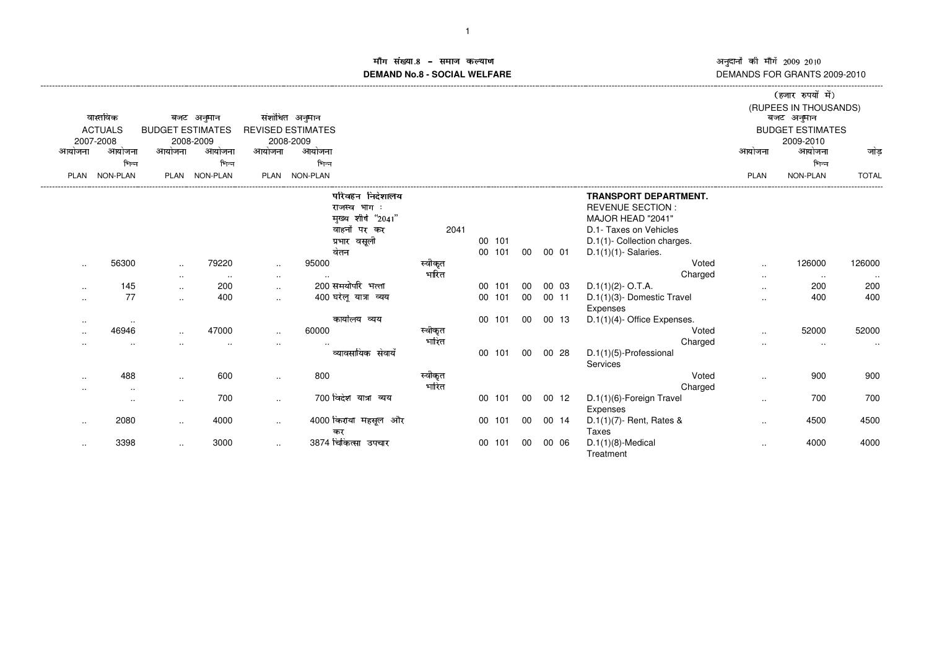### माँग संख्या.8 – समाज कल्याण माग सख्या.**8 – समाज कल्याण**<br>DEMAND No.8 - SOCIAL WELFARE

|                     |                |                         |               |           |                            |         |                  |          |                |                                        |                      | (हजार रुपयों में)                   |              |
|---------------------|----------------|-------------------------|---------------|-----------|----------------------------|---------|------------------|----------|----------------|----------------------------------------|----------------------|-------------------------------------|--------------|
|                     | वास्तविक       |                         | बजट अनुमान    |           | संशोधित अनुमान             |         |                  |          |                |                                        |                      | (RUPEES IN THOUSANDS)<br>बजट अनुमान |              |
|                     | <b>ACTUALS</b> | <b>BUDGET ESTIMATES</b> |               |           | <b>REVISED ESTIMATES</b>   |         |                  |          |                |                                        |                      | <b>BUDGET ESTIMATES</b>             |              |
|                     | 2007-2008      |                         | 2008-2009     |           | 2008-2009                  |         |                  |          |                |                                        |                      | 2009-2010                           |              |
| आयोजना              | आयोजना         | आयोजना                  | आयोजना        | आयोजना    | आयोजना                     |         |                  |          |                |                                        | आयोजना               | आयोजना                              | जोड़         |
|                     | भिन्न          |                         | भिन्न         |           | भिन्न                      |         |                  |          |                |                                        |                      | भिन्न                               |              |
| <b>PLAN</b>         | NON-PLAN       |                         | PLAN NON-PLAN |           | PLAN NON-PLAN              |         |                  |          |                |                                        | <b>PLAN</b>          | NON-PLAN                            | <b>TOTAL</b> |
|                     |                |                         |               |           | परिवहन निदेशालय            |         |                  |          |                | <b>TRANSPORT DEPARTMENT.</b>           |                      |                                     |              |
|                     |                |                         |               |           | राजस्व भाग :               |         |                  |          |                | <b>REVENUE SECTION:</b>                |                      |                                     |              |
|                     |                |                         |               |           | मुख्य शीर्ष "2041"         |         |                  |          |                | MAJOR HEAD "2041"                      |                      |                                     |              |
|                     |                |                         |               |           | वाहनों पर कर               | 2041    |                  |          |                | D.1- Taxes on Vehicles                 |                      |                                     |              |
|                     |                |                         |               |           | प्रभार वसूली               |         | 00 101           |          |                | D.1(1)- Collection charges.            |                      |                                     |              |
|                     |                |                         |               |           | वेतन                       |         | 00 101           | 00       | 00 01          | $D.1(1)(1)$ - Salaries.                |                      |                                     |              |
| $\cdot$ .           | 56300          | $\ddotsc$               | 79220         | $\ddotsc$ | 95000                      | स्वीकृत |                  |          |                | Voted                                  | $\ddot{\phantom{a}}$ | 126000                              | 126000       |
|                     |                | $\cdots$                | $\sim$        | $\cdot$ . | 200 समयोर्पार भत्ता        | भारित   |                  |          |                | Charged                                | $\sim$               | $\sim$ $\sim$                       | $\sim$       |
| $\cdots$            | 145<br>77      | $\cdot$ .               | 200<br>400    | $\cdot$ . | 400 घरेलू यात्रा व्यय      |         | 00 101<br>00 101 | 00<br>00 | 00 03<br>00 11 | $D.1(1)(2)$ - O.T.A.                   | $\sim$               | 200<br>400                          | 200<br>400   |
| $\cdot$ .           |                | $\cdot$ .               |               | $\cdot$ . |                            |         |                  |          |                | D.1(1)(3)- Domestic Travel<br>Expenses | $\sim$               |                                     |              |
| $\bullet$ $\bullet$ |                |                         |               |           | कार्यालय व्यय              |         | 00 101           | 00       | 00 13          | D.1(1)(4)- Office Expenses.            |                      |                                     |              |
| $\cdot$ .           | 46946          |                         | 47000         | $\ldots$  | 60000                      | स्वीकृत |                  |          |                | Voted                                  |                      | 52000                               | 52000        |
| $\sim$ $\sim$       | $\cdot$ .      |                         |               | $\sim$    |                            | भारित   |                  |          |                | Charged                                | $\ddot{\phantom{a}}$ | $\sim$                              | $\sim$       |
|                     |                |                         |               |           | व्यावसायिक सेवायें         |         | 00 101           | 00       | 00 28          | D.1(1)(5)-Professional<br>Services     |                      |                                     |              |
| $\cdot$ .           | 488            | $\ddotsc$               | 600           | $\ldots$  | 800                        | स्वीकृत |                  |          |                | Voted                                  | $\ddotsc$            | 900                                 | 900          |
|                     | $\cdots$       |                         |               |           |                            | भारित   |                  |          |                | Charged                                |                      |                                     |              |
|                     | $\cdots$       | $\cdot$ .               | 700           | $\cdot$ . | 700 विदेश यात्रा व्यय      |         | 00 101           | 00       | 00 12          | D.1(1)(6)-Foreign Travel<br>Expenses   | $\ddotsc$            | 700                                 | 700          |
| $\cdot$ .           | 2080           | $\cdot$ .               | 4000          | $\ldots$  | 4000 किराया महसूल और<br>कर |         | 00 101           | 00       | 00 14          | $D.1(1)(7)$ - Rent, Rates &<br>Taxes   |                      | 4500                                | 4500         |
| $\cdot$ .           | 3398           | $\cdot$ .               | 3000          | $\cdot$ . | 3874 चिकित्सा उपचार        |         | 00 101           | 00       | 00 06          | $D.1(1)(8)$ -Medical<br>Treatment      | $\cdot$ .            | 4000                                | 4000         |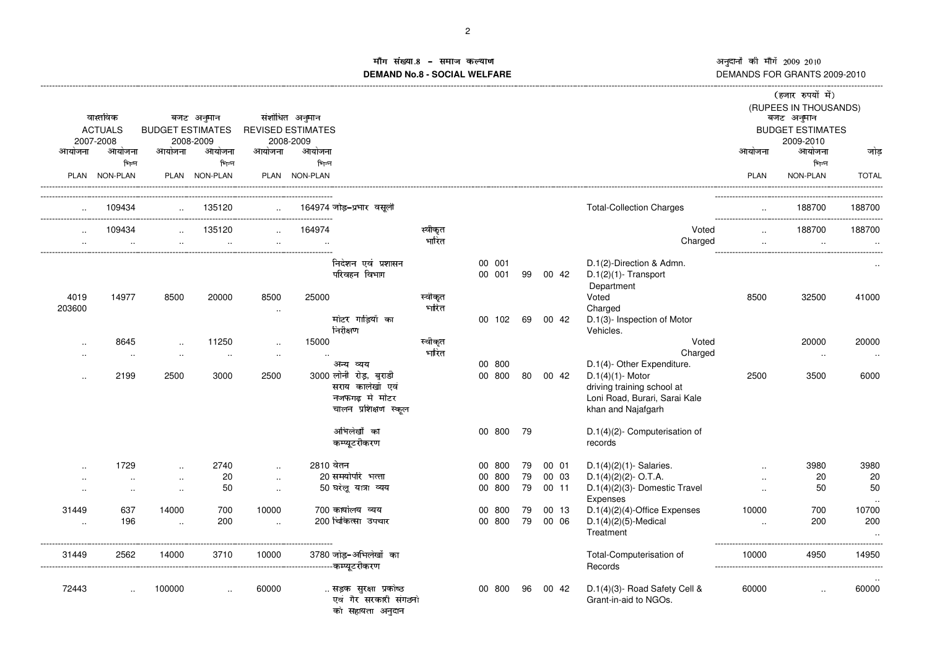# माँग संख्या. ्मोग सख्या.8 – समाज कल्याण<br>DEMAND No.8 - SOCIAL WELFARE

|                      |                |                         |                      |           |                          |                                                                 |         |                  |     |    |          |                                                                                    |             | (हजार रुपयों में)                   |                       |
|----------------------|----------------|-------------------------|----------------------|-----------|--------------------------|-----------------------------------------------------------------|---------|------------------|-----|----|----------|------------------------------------------------------------------------------------|-------------|-------------------------------------|-----------------------|
|                      | वास्तविक       |                         | बजट अनुमान           |           | संशोधित अनुमान           |                                                                 |         |                  |     |    |          |                                                                                    |             | (RUPEES IN THOUSANDS)<br>बजट अनुमान |                       |
|                      | <b>ACTUALS</b> | <b>BUDGET ESTIMATES</b> |                      |           | <b>REVISED ESTIMATES</b> |                                                                 |         |                  |     |    |          |                                                                                    |             | <b>BUDGET ESTIMATES</b>             |                       |
|                      | 2007-2008      |                         | 2008-2009            |           | 2008-2009                |                                                                 |         |                  |     |    |          |                                                                                    |             | 2009-2010                           |                       |
| आयोजना               | आयोजना         | आयोजना                  | आयोजना               | आयोजना    | आयोजना                   |                                                                 |         |                  |     |    |          |                                                                                    | आयोजना      | आयोजना                              | जोड                   |
|                      | भिन्न          |                         | भिन्न                |           | भिन्न                    |                                                                 |         |                  |     |    |          |                                                                                    |             | भिन्न                               |                       |
|                      | PLAN NON-PLAN  |                         | PLAN NON-PLAN        |           | PLAN NON-PLAN            |                                                                 |         |                  |     |    |          |                                                                                    | <b>PLAN</b> | NON-PLAN                            | <b>TOTAL</b>          |
|                      | 109434         |                         | 135120               |           |                          | 164974 जोड़–प्रभार वसूली                                        |         |                  |     |    |          | <b>Total-Collection Charges</b>                                                    |             | 188700<br>.                         | 188700<br>----------- |
|                      | 109434         |                         | 135120               |           | 164974                   |                                                                 | स्वीकृत |                  |     |    |          | Voted                                                                              |             | 188700                              | 188700                |
|                      |                |                         | $\sim$               |           | $\ddotsc$                |                                                                 | भारित   |                  |     |    |          | Charged                                                                            | $\ddotsc$   |                                     | $\ddotsc$             |
|                      |                |                         |                      |           |                          | निदेशन एवं प्रशासन<br>परिवहन विभाग                              |         | 00 001<br>00 001 |     |    | 99 00 42 | D.1(2)-Direction & Admn.<br>$D.1(2)(1)$ - Transport                                |             |                                     |                       |
| 4019                 | 14977          | 8500                    | 20000                | 8500      | 25000                    |                                                                 | स्वीकृत |                  |     |    |          | Department<br>Voted                                                                | 8500        | 32500                               | 41000                 |
| 203600               |                |                         |                      | $\cdot$ . |                          |                                                                 | भारित   |                  |     |    |          | Charged                                                                            |             |                                     |                       |
|                      |                |                         |                      |           |                          | मोटर गाड़ियों का                                                |         | 00 102 69 00 42  |     |    |          | D.1(3)- Inspection of Motor                                                        |             |                                     |                       |
|                      |                |                         |                      |           |                          | निरीक्षण                                                        |         |                  |     |    |          | Vehicles.                                                                          |             |                                     |                       |
| $\cdot$ .            | 8645           | $\ddotsc$               | 11250                | $\sim$    | 15000                    |                                                                 | स्वीकृत |                  |     |    |          | Voted                                                                              |             | 20000                               | 20000                 |
| $\cdot$ .            | $\ddotsc$      | $\ddotsc$               | $\ddotsc$            | $\sim$    | $\ddotsc$                |                                                                 | भारित   |                  |     |    |          | Charged                                                                            |             | $\sim$                              | $\sim$                |
|                      | 2199           |                         |                      |           |                          | अन्य व्यय<br>3000 लोनी रोड़, बुराडी                             |         | 00 800<br>00 800 |     |    |          | D.1(4)- Other Expenditure.                                                         |             |                                     | 6000                  |
| $\ddot{\phantom{a}}$ |                | 2500                    | 3000                 | 2500      |                          | सराय कालेखॉ एवं<br>नजफगढ मे मोटर                                |         |                  |     |    | 80 00 42 | $D.1(4)(1)$ - Motor<br>driving training school at<br>Loni Road, Burari, Sarai Kale | 2500        | 3500                                |                       |
|                      |                |                         |                      |           |                          | चालन प्रशिक्षण स्कूल                                            |         |                  |     |    |          | khan and Najafgarh                                                                 |             |                                     |                       |
|                      |                |                         |                      |           |                          | अभिलेखों का                                                     |         | 00 800           |     | 79 |          | D.1(4)(2)- Computerisation of                                                      |             |                                     |                       |
|                      |                |                         |                      |           |                          | कम्प्यूटरीकरण                                                   |         |                  |     |    |          | records                                                                            |             |                                     |                       |
|                      | 1729           | $\ddotsc$               | 2740                 | $\sim$    | 2810 बेतन                |                                                                 |         | 00 800           |     | 79 | 00 01    | $D.1(4)(2)(1)$ - Salaries.                                                         | $\ddotsc$   | 3980                                | 3980                  |
| $\ddotsc$            | $\ddotsc$      | $\ddotsc$               | 20                   | $\sim$    |                          | 20 समयोपरि भत्ता                                                |         | 00 800           |     | 79 | 00 03    | $D.1(4)(2)(2)$ - O.T.A.                                                            | $\ddotsc$   | 20                                  | 20                    |
| $\ddotsc$            | $\ddotsc$      | $\ddotsc$               | 50                   | $\sim$    |                          | 50 घरेलू यात्रा व्यय                                            |         | 00 800           |     | 79 | 00 11    | $D.1(4)(2)(3)$ - Domestic Travel<br>Expenses                                       | $\cdot$ .   | 50                                  | 50                    |
| 31449                | 637            | 14000                   | 700                  | 10000     |                          | 700 कार्यालय व्यय                                               |         | 00               | 800 | 79 | 00 13    | $D.1(4)(2)(4)$ -Office Expenses                                                    | 10000       | 700                                 | 10700                 |
| $\sim$               | 196            | $\ddotsc$               | 200                  | $\ddotsc$ |                          | 200 चिकित्सा उपचार                                              |         | 00 800           |     | 79 | 00 06    | $D.1(4)(2)(5)$ -Medical                                                            | $\ddotsc$   | 200                                 | 200                   |
|                      |                |                         |                      |           |                          |                                                                 |         |                  |     |    |          | Treatment                                                                          |             |                                     | $\cdot$ .             |
| 31449                | 2562           | 14000                   | 3710                 | 10000     |                          | 3780 जोड–अभिलेखों का<br>--------------------------कम्प्युटरीकरण |         |                  |     |    |          | Total-Computerisation of<br>Records                                                | 10000       | 4950                                | 14950                 |
|                      |                |                         |                      |           |                          |                                                                 |         |                  |     |    |          |                                                                                    |             |                                     |                       |
| 72443                | $\ddotsc$      | 100000                  | $\ddot{\phantom{a}}$ | 60000     |                          | सड़क सुरक्षा प्रकोष्ठ                                           |         | 00 800           |     | 96 | 00 42    | D.1(4)(3)- Road Safety Cell &                                                      | 60000       | $\cdot$                             | 60000                 |
|                      |                |                         |                      |           |                          | एवं गैर सरकारी संगठनो<br>को सहायता अनुदान                       |         |                  |     |    |          | Grant-in-aid to NGOs.                                                              |             |                                     |                       |
|                      |                |                         |                      |           |                          |                                                                 |         |                  |     |    |          |                                                                                    |             |                                     |                       |
|                      |                |                         |                      |           |                          |                                                                 |         |                  |     |    |          |                                                                                    |             |                                     |                       |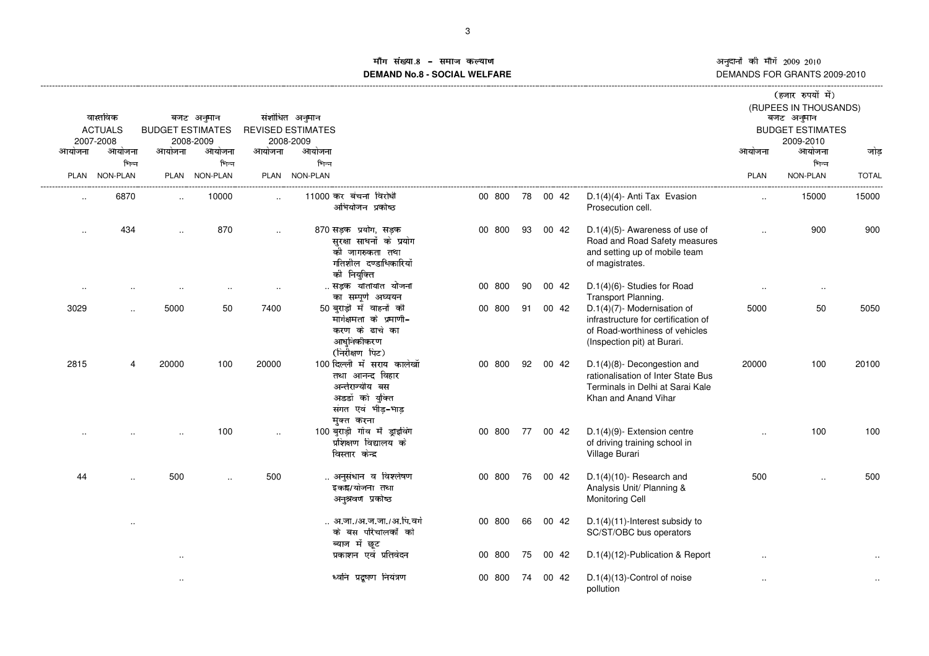# ाँग संख्या ¶¹º ³¯°»¼½°¾¶°¿ÀMÁ**DEMAND No.8 - SOCIAL WELFARE**

|                      |                             |                         |               |           |                                                                                                                          |        |    |          |                                                                                                                                     |                      | (हजार रुपयों में)                    |              |
|----------------------|-----------------------------|-------------------------|---------------|-----------|--------------------------------------------------------------------------------------------------------------------------|--------|----|----------|-------------------------------------------------------------------------------------------------------------------------------------|----------------------|--------------------------------------|--------------|
|                      |                             |                         |               |           |                                                                                                                          |        |    |          |                                                                                                                                     |                      | (RUPEES IN THOUSANDS)                |              |
|                      | वास्तविक                    |                         | बजट अनुमान    |           | संशोधित अनुमान                                                                                                           |        |    |          |                                                                                                                                     |                      | बजट अनुमान                           |              |
|                      | <b>ACTUALS</b><br>2007-2008 | <b>BUDGET ESTIMATES</b> | 2008-2009     |           | <b>REVISED ESTIMATES</b><br>2008-2009                                                                                    |        |    |          |                                                                                                                                     |                      | <b>BUDGET ESTIMATES</b><br>2009-2010 |              |
| आयोजना               | आयोजना                      | आयोजना                  | आयोजना        | आयोजना    | आयोजना                                                                                                                   |        |    |          |                                                                                                                                     | आयोजना               | आयोजना                               | जोड          |
|                      | भिन्न                       |                         | भिन्न         |           | भिन्न                                                                                                                    |        |    |          |                                                                                                                                     |                      | भिन्न                                |              |
| PLAN                 | <b>NON-PLAN</b>             |                         | PLAN NON-PLAN |           | PLAN NON-PLAN                                                                                                            |        |    |          |                                                                                                                                     | <b>PLAN</b>          | NON-PLAN                             | <b>TOTAL</b> |
| $\cdot$ .            | 6870                        | $\ddot{\phantom{a}}$    | 10000         | $\ddotsc$ | 11000 कर बंचना विरोधी<br>अभियोजन प्रकोष्ठ                                                                                | 00 800 |    | 78 00 42 | D.1(4)(4)- Anti Tax Evasion<br>Prosecution cell.                                                                                    | $\ddotsc$            | 15000                                | 15000        |
| $\ddot{\phantom{a}}$ | 434                         |                         | 870           | $\ddotsc$ | 870 सड़क प्रयोग, सड़क<br>सुरक्षा साधनों के प्रयोग<br>की जागरुकता तथा<br>गतिशील दण्डाधिकारियों<br>की नियुक्ति             | 00 800 | 93 | 00 42    | $D.1(4)(5)$ - Awareness of use of<br>Road and Road Safety measures<br>and setting up of mobile team<br>of magistrates.              |                      | 900                                  | 900          |
|                      |                             |                         |               |           | सड़क यातायात योजना<br>का सम्पूर्ण अध्ययन                                                                                 | 00 800 | 90 | 00 42    | D.1(4)(6)- Studies for Road<br>Transport Planning.                                                                                  |                      | $\cdot$ .                            |              |
| 3029                 |                             | 5000                    | 50            | 7400      | 50 बुराड़ी में वाहनों की<br>मार्गक्षमता के प्रमाणी-<br>करण के ढाचे का<br>आधुनिकीकरण<br>(निरीक्षण पिट)                    | 00 800 |    | 91 00 42 | D.1(4)(7)- Modernisation of<br>infrastructure for certification of<br>of Road-worthiness of vehicles<br>(Inspection pit) at Burari. | 5000                 | 50                                   | 5050         |
| 2815                 | 4                           | 20000                   | 100           | 20000     | 100 दिल्ली में सराय कालेखाँ<br>तथा आनन्द विहार<br>अर्न्तराज्यीय बस<br>अडडों को युक्ति<br>संगत एवं भीड़-भाड़<br>मक्त करना | 00 800 | 92 | 00 42    | D.1(4)(8)- Decongestion and<br>rationalisation of Inter State Bus<br>Terminals in Delhi at Sarai Kale<br>Khan and Anand Vihar       | 20000                | 100                                  | 20100        |
|                      |                             |                         | 100           | $\ddotsc$ | 100 बुराड़ी गॉव में ड्राइविंग<br>प्रशिक्षण विद्यालय के<br>विस्तार केन्द्र                                                | 00 800 |    | 77 00 42 | D.1(4)(9)- Extension centre<br>of driving training school in<br>Village Burari                                                      |                      | 100                                  | 100          |
| 44                   | $\ddotsc$                   | 500                     |               | 500       | अनुसंधान व विश्लेषण<br>इकाइ/योजना तथा<br>अनुश्रवण प्रकोष्ठ                                                               | 00 800 |    | 76 00 42 | $D.1(4)(10)$ - Research and<br>Analysis Unit/ Planning &<br><b>Monitoring Cell</b>                                                  | 500                  | $\sim$ $\sim$                        | 500          |
|                      |                             |                         |               |           | अ.जा./अ.ज.जा./अ.पि.वर्ग<br>के बस परिचालकों को<br>ब्याज में छूट                                                           | 00 800 | 66 | 00 42    | D.1(4)(11)-Interest subsidy to<br>SC/ST/OBC bus operators                                                                           |                      |                                      |              |
|                      |                             | $\ddotsc$               |               |           | प्रकाशन एवं प्रतिवेदन                                                                                                    | 00 800 |    | 75 00 42 | D.1(4)(12)-Publication & Report                                                                                                     | $\ddot{\phantom{a}}$ |                                      |              |
|                      |                             |                         |               |           | ध्वनि प्रदूषण नियंत्रण                                                                                                   | 00 800 | 74 | 00 42    | D.1(4)(13)-Control of noise<br>pollution                                                                                            |                      |                                      |              |
|                      |                             |                         |               |           |                                                                                                                          |        |    |          |                                                                                                                                     |                      |                                      |              |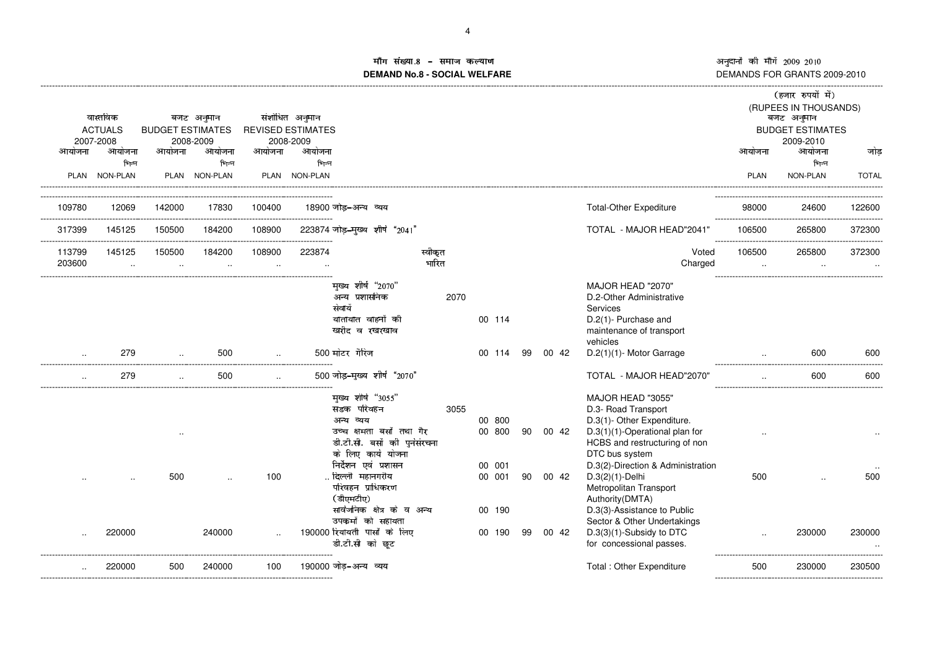## in संख्या ÑÓÔ ÎÊËÕÖ×ËØÑËÙÚ Û**DEMAND No.8 - SOCIAL WELFARE**

|             |                     |                         |                     |           |                          |                                          |         |      |                  |    |       |                                              |             | (हजार रुपयों में)       |              |
|-------------|---------------------|-------------------------|---------------------|-----------|--------------------------|------------------------------------------|---------|------|------------------|----|-------|----------------------------------------------|-------------|-------------------------|--------------|
|             |                     |                         |                     |           |                          |                                          |         |      |                  |    |       |                                              |             | (RUPEES IN THOUSANDS)   |              |
|             | वास्तविक            |                         | बजट अनुमान          |           | संशोधित अनुमान           |                                          |         |      |                  |    |       |                                              |             | बजट अनुमान              |              |
|             | <b>ACTUALS</b>      | <b>BUDGET ESTIMATES</b> |                     |           | <b>REVISED ESTIMATES</b> |                                          |         |      |                  |    |       |                                              |             | <b>BUDGET ESTIMATES</b> |              |
| आयोजना      | 2007-2008<br>आयोजना | आयोजना                  | 2008-2009<br>आयोजना | आयोजना    | 2008-2009<br>आयोजना      |                                          |         |      |                  |    |       |                                              | आयोजना      | 2009-2010<br>आयोजना     | जोड़         |
|             | भिन्न               |                         | भिन्न               |           | भिन्न                    |                                          |         |      |                  |    |       |                                              |             | भिन्न                   |              |
| <b>PLAN</b> | NON-PLAN            |                         | PLAN NON-PLAN       | PLAN      | <b>NON-PLAN</b>          |                                          |         |      |                  |    |       |                                              | <b>PLAN</b> | NON-PLAN                | <b>TOTAL</b> |
|             |                     |                         |                     |           |                          |                                          |         |      |                  |    |       |                                              |             |                         |              |
| 109780      | 12069               | 142000                  | 17830               | 100400    |                          | 18900 जोड–अन्य व्यय                      |         |      |                  |    |       | <b>Total-Other Expediture</b>                | 98000       | 24600                   | 122600       |
| 317399      | 145125              | 150500                  | 184200              | 108900    |                          | 223874 जोड़-मुख्य शीर्ष "2041"           |         |      |                  |    |       | TOTAL - MAJOR HEAD"2041'                     | 106500      | 265800                  | 372300       |
| 113799      | 145125              | 150500                  | 184200              | 108900    | 223874                   |                                          | स्वीकृत |      |                  |    |       | Voted                                        | 106500      | 265800                  | 372300       |
| 203600      | $\cdot$ .           | $\cdot$ .               | $\cdot$ .           | $\cdot$ . |                          |                                          | भारित   |      |                  |    |       | Charged                                      | $\ddotsc$   | $\cdot$ .               |              |
|             |                     |                         |                     |           |                          | मुख्य शीर्ष "2070"                       |         |      |                  |    |       | MAJOR HEAD "2070"                            |             |                         |              |
|             |                     |                         |                     |           |                          | अन्य प्रशासनिक                           |         | 2070 |                  |    |       | D.2-Other Administrative                     |             |                         |              |
|             |                     |                         |                     |           |                          | सेवायेँ                                  |         |      |                  |    |       | Services                                     |             |                         |              |
|             |                     |                         |                     |           |                          | यातायात वाहनों की                        |         |      | 00 114           |    |       | D.2(1)- Purchase and                         |             |                         |              |
|             |                     |                         |                     |           |                          | खरीद व रखरखाव                            |         |      |                  |    |       | maintenance of transport                     |             |                         |              |
|             |                     |                         |                     |           |                          |                                          |         |      |                  |    |       | vehicles                                     |             |                         |              |
|             | 279                 |                         | 500                 |           |                          | 500 मोटर गैरिज                           |         |      | 00 114           | 99 | 00 42 | D.2(1)(1)- Motor Garrage                     |             | 600                     | 600          |
|             | 279                 |                         | 500                 |           |                          | 500 जोड़-मुख्य शीर्ष "2070"              |         |      |                  |    |       | TOTAL - MAJOR HEAD"2070'                     |             | 600                     | 600          |
|             |                     |                         |                     |           |                          | मुख्य शीर्ष "3055"                       |         |      |                  |    |       | MAJOR HEAD "3055"                            |             |                         |              |
|             |                     |                         |                     |           |                          | सडक परिवहन                               |         | 3055 |                  |    |       | D.3- Road Transport                          |             |                         |              |
|             |                     |                         |                     |           |                          | अन्य व्यय                                |         |      | 00 800           |    |       | D.3(1)- Other Expenditure.                   |             |                         |              |
|             |                     |                         |                     |           |                          | उच्च क्षमता बसों तथा गैर                 |         |      | 00 800           | 90 | 00 42 | $D.3(1)(1)$ -Operational plan for            |             |                         |              |
|             |                     |                         |                     |           |                          | डी.टी.सी. बसों की पुर्नसंरचना            |         |      |                  |    |       | HCBS and restructuring of non                |             |                         |              |
|             |                     |                         |                     |           |                          | के लिए कार्य योजना                       |         |      |                  |    |       | DTC bus system                               |             |                         |              |
|             |                     | 500                     |                     | 100       |                          | निर्देशन एवं प्रशासन<br>दिल्ली  महानगरीय |         |      | 00 001<br>00 001 |    |       | D.3(2)-Direction & Administration            |             |                         |              |
|             |                     |                         |                     |           |                          | परिवहन प्राधिकरण                         |         |      |                  | 90 | 00 42 | $D.3(2)(1)$ -Delhi<br>Metropolitan Transport | 500         |                         | 500          |
|             |                     |                         |                     |           |                          | (डीएमटीए)                                |         |      |                  |    |       | Authority (DMTA)                             |             |                         |              |
|             |                     |                         |                     |           |                          | सार्वजनिक क्षेत्र के व अन्य              |         |      | 00 190           |    |       | D.3(3)-Assistance to Public                  |             |                         |              |
|             |                     |                         |                     |           |                          | उपकर्मो को सहायता                        |         |      |                  |    |       | Sector & Other Undertakings                  |             |                         |              |
|             | 220000              |                         | 240000              |           |                          | 190000 रियायती पासों के लिए              |         |      | 00 190           | 99 | 00 42 | D.3(3)(1)-Subsidy to DTC                     |             | 230000                  | 230000       |
|             |                     |                         |                     |           |                          | डी.टी.सी को छूट                          |         |      |                  |    |       | for concessional passes.                     |             |                         |              |
|             | 220000              | 500                     | 240000              | 100       |                          | 190000 जोड़-अन्य व्यय                    |         |      |                  |    |       | Total: Other Expenditure                     | 500         | 230000                  | 230500       |
|             |                     |                         |                     |           |                          |                                          |         |      |                  |    |       |                                              |             |                         |              |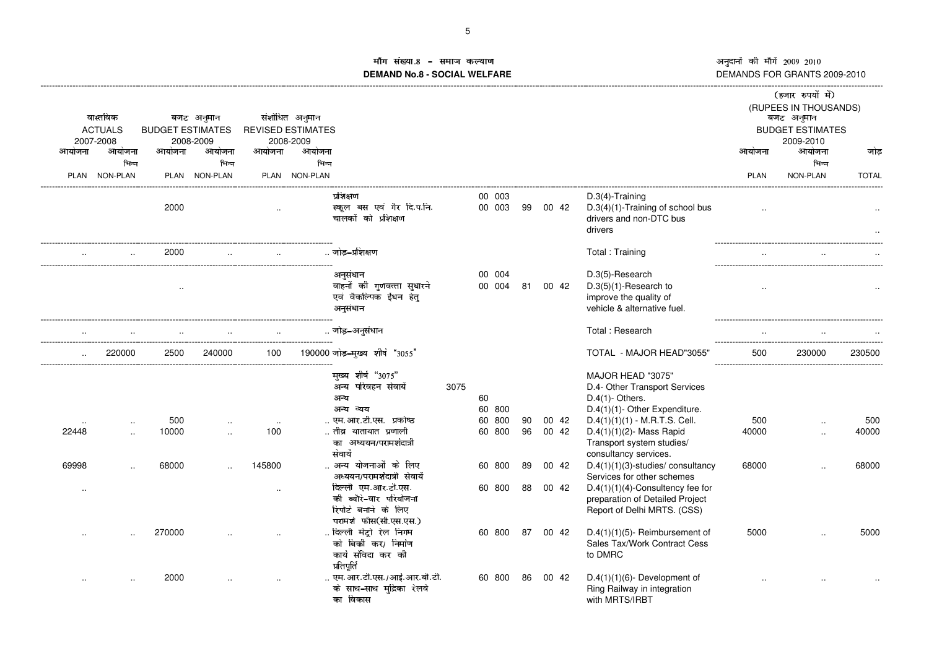£

### ांग संख्या **DEMAND No.8 - SOCIAL WELFARE**

| आयोजना               | वास्तविक<br><b>ACTUALS</b><br>2007-2008<br>आयोजना | <b>BUDGET ESTIMATES</b><br>आयोजना | बजट अनुमान<br>2008-2009<br>आयोजना | आयोजना           | संशोधित अनुमान<br><b>REVISED ESTIMATES</b><br>2008-2009<br>आयोजना                               |      |                     |          |                |                                                                                                                      | आयोजना       | (हजार रुपयों में)<br>(RUPEES IN THOUSANDS)<br>बजट अनुमान<br><b>BUDGET ESTIMATES</b><br>2009-2010<br>आयोजना | जोड          |
|----------------------|---------------------------------------------------|-----------------------------------|-----------------------------------|------------------|-------------------------------------------------------------------------------------------------|------|---------------------|----------|----------------|----------------------------------------------------------------------------------------------------------------------|--------------|------------------------------------------------------------------------------------------------------------|--------------|
| <b>PLAN</b>          | भिन्न<br>NON-PLAN                                 |                                   | भिन्न<br>PLAN NON-PLAN            |                  | भिन्न<br>PLAN NON-PLAN                                                                          |      |                     |          |                |                                                                                                                      | <b>PLAN</b>  | भिन्न<br>NON-PLAN                                                                                          | <b>TOTAL</b> |
|                      |                                                   | 2000                              |                                   |                  | प्रशिक्षण<br>स्कूल बस एवं गैर दि.प.नि.<br>चालकों को प्रशिक्षण                                   |      | 00 003<br>00 003    | 99       | 00 42          | $D.3(4)$ -Training<br>D.3(4)(1)-Training of school bus<br>drivers and non-DTC bus<br>drivers                         |              |                                                                                                            |              |
|                      |                                                   | 2000                              |                                   |                  | जोड–प्रशिक्षण                                                                                   |      |                     |          |                | Total: Training                                                                                                      |              |                                                                                                            |              |
|                      |                                                   | $\ddotsc$                         |                                   |                  | अनुसंधान<br>वाहनों की गुणवत्ता सुधारने<br>एवं वैकल्पिक ईंधन हेत्<br>अनुसंधान                    |      | 00 004<br>00 004    | 81       | 00 42          | D.3(5)-Research<br>$D.3(5)(1)$ -Research to<br>improve the quality of<br>vehicle & alternative fuel.                 |              |                                                                                                            |              |
|                      |                                                   |                                   |                                   |                  | जोड़-अनुसंधान                                                                                   |      |                     |          |                | Total: Research                                                                                                      |              |                                                                                                            |              |
|                      | 220000                                            | 2500                              | 240000                            | 100              | 190000 जोड़-मुख्य शीर्ष "3055"                                                                  |      |                     |          |                | TOTAL - MAJOR HEAD"3055'                                                                                             | 500          | 230000                                                                                                     | 230500       |
|                      |                                                   |                                   |                                   |                  | मुख्य शीर्ष "3075"<br>अन्य परिवहन सेवायें<br>अन्य<br>अन्य व्यय                                  | 3075 | 60<br>60 800        |          |                | MAJOR HEAD "3075"<br>D.4- Other Transport Services<br>$D.4(1)$ - Others.<br>D.4(1)(1)- Other Expenditure.            |              |                                                                                                            |              |
| 22448                |                                                   | 500<br>10000                      |                                   | $\cdot$ .<br>100 | एम.आर.टी.एस. प्रकोष्ठ<br>तीव्र यातायात प्रणाली<br>का अध्ययन/परामर्शदात्री<br>सेवायें            |      | 60<br>800<br>60 800 | 90<br>96 | 00 42<br>00 42 | $D.4(1)(1)(1) - M.R.T.S.$ Cell.<br>$D.4(1)(1)(2)$ - Mass Rapid<br>Transport system studies/<br>consultancy services. | 500<br>40000 |                                                                                                            | 500<br>40000 |
| 69998                |                                                   | 68000                             |                                   | 145800           | अन्य योजनाओं के लिए<br>अध्ययन/परामर्शदात्री सेवायेँ                                             |      | 60 800              | 89       | 00 42          | $D.4(1)(1)(3)$ -studies/consultancy<br>Services for other schemes                                                    | 68000        |                                                                                                            | 68000        |
| $\ddot{\phantom{a}}$ |                                                   |                                   |                                   | $\ddotsc$        | दिल्ली एम.आर.टी.एस.<br>की ब्यौरे-वार परियोजना<br>रिपोर्ट बनाने के लिए<br>परामर्श फीस(सी.एस.एस.) |      | 60 800              | 88       | 00 42          | $D.4(1)(1)(4)$ -Consultency fee for<br>preparation of Detailed Project<br>Report of Delhi MRTS. (CSS)                |              |                                                                                                            |              |
|                      |                                                   | 270000                            |                                   |                  | दिल्ली मेट्रो रेल निगम<br>को बिकी कर/ निर्माण<br>कार्य संविदा कर की<br>प्रतिपूर्ति              |      | 60 800              | 87       | 00 42          | $D.4(1)(1)(5)$ - Reimbursement of<br>Sales Tax/Work Contract Cess<br>to DMRC                                         | 5000         |                                                                                                            | 5000         |
|                      |                                                   | 2000                              |                                   |                  | एम. आर.टी.एस./आई.आर.बी.टी.<br>के साथ-साथ मुद्रिका रेलवे<br>का विकास                             |      | 60 800              | 86       | 00 42          | $D.4(1)(1)(6)$ - Development of<br>Ring Railway in integration<br>with MRTS/IRBT                                     |              |                                                                                                            |              |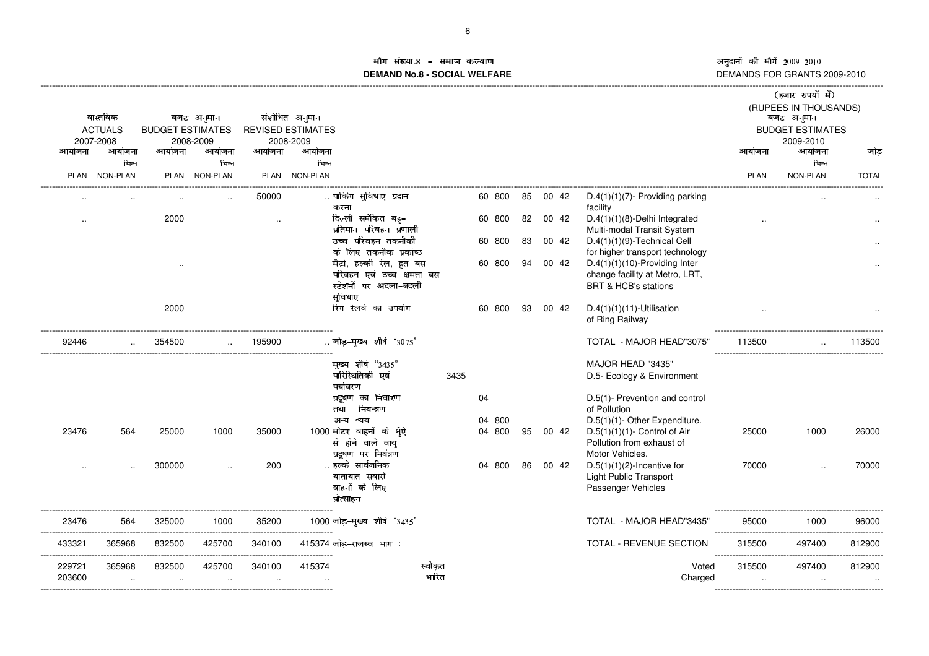êëèëìí <sup>î</sup>ïðëñòìí <sup>ó</sup>ôôõö <sup>ó</sup>ô÷ô DEMANDS FOR GRANTS 2009-2010

#### ाँग संख्या ßáâ ÜØÙãäåÙæßÙçèé**DEMAND No.8 - SOCIAL WELFARE**

| आयोजना<br><b>PLAN</b> | वास्तविक<br><b>ACTUALS</b><br>2007-2008<br>आयोजना<br>भिन्न<br>NON-PLAN | <b>BUDGET ESTIMATES</b><br>आयोजना<br>2000 | बजट अनुमान<br>2008-2009<br>आयोजना<br>भिन्न<br>PLAN NON-PLAN | आयोजना<br>50000 | संशोधित अनुमान<br><b>REVISED ESTIMATES</b><br>2008-2009<br>आयोजना<br>भिन्न<br>PLAN NON-PLAN<br>पार्किंग सुविधाएं प्रदान<br>करना<br>दिल्ली समेकित बह-                                                                                             |       | 60 800<br>60 800                       | 85<br>82 | 00 42<br>00 42 | $D.4(1)(1)(7)$ - Providing parking<br>facility<br>$D.4(1)(1)(8)$ -Delhi Integrated                                                                                                                                                                                                                     | आयोजना<br><b>PLAN</b> | (हजार रुपयों में)<br>(RUPEES IN THOUSANDS)<br>बजट अनुमान<br><b>BUDGET ESTIMATES</b><br>2009-2010<br>आयोजना<br>भिन्न<br>NON-PLAN | जोड<br><b>TOTAL</b> |
|-----------------------|------------------------------------------------------------------------|-------------------------------------------|-------------------------------------------------------------|-----------------|--------------------------------------------------------------------------------------------------------------------------------------------------------------------------------------------------------------------------------------------------|-------|----------------------------------------|----------|----------------|--------------------------------------------------------------------------------------------------------------------------------------------------------------------------------------------------------------------------------------------------------------------------------------------------------|-----------------------|---------------------------------------------------------------------------------------------------------------------------------|---------------------|
|                       |                                                                        |                                           |                                                             |                 | प्रतिमान परिवहन प्रणाली<br>उच्च परिवहन तकनीकी<br>के लिए तकनीक प्रकोष्ठ<br>मैटो, हल्की रेल, दुत बस<br>परिवहन एवं उच्च क्षमता बस<br>स्टेशनों पर अदला-बदली<br>सुविधाएं                                                                              |       | 60 800<br>60 800                       | 83<br>94 | 00 42<br>00 42 | Multi-modal Transit System<br>$D.4(1)(1)(9)$ -Technical Cell<br>for higher transport technology<br>$D.4(1)(1)(10)$ -Providing Inter<br>change facility at Metro, LRT,<br><b>BRT &amp; HCB's stations</b>                                                                                               |                       |                                                                                                                                 |                     |
| 92446                 |                                                                        | 2000<br>354500                            |                                                             | 195900          | रिंग रेलवे का उपयोग<br>जोड़-मुख्य शीर्ष "3075"                                                                                                                                                                                                   |       | 60 800                                 | 93       | 00 42          | $D.4(1)(1)(11)$ -Utilisation<br>of Ring Railway<br>TOTAL - MAJOR HEAD"3075'                                                                                                                                                                                                                            | 113500                |                                                                                                                                 | 113500              |
| 23476                 | 564                                                                    | 25000<br>300000                           | 1000                                                        | 35000<br>200    | मुख्य शीर्ष "3435"<br>पारिस्थितिकी एवं<br>पर्यावरण<br>प्रदूषण का निवारण<br>तथा नियन्त्रण<br>अन्य व्यय<br>1000 मोटर वाहनों के धूँऐ<br>से होने वाले वायु<br>प्रदुषण पर नियंत्रण<br>हल्के सार्वजनिक<br>यातायात सवारी<br>वाहनों के लिए<br>प्रोत्साहन | 3435  | 04<br>800<br>04<br>04 800<br>800<br>04 | 95<br>86 | 00 42<br>00 42 | MAJOR HEAD "3435"<br>D.5- Ecology & Environment<br>D.5(1)- Prevention and control<br>of Pollution<br>D.5(1)(1)- Other Expenditure.<br>$D.5(1)(1)(1)$ - Control of Air<br>Pollution from exhaust of<br>Motor Vehicles.<br>$D.5(1)(1)(2)$ -Incentive for<br>Light Public Transport<br>Passenger Vehicles | 25000<br>70000        | 1000                                                                                                                            | 26000<br>70000      |
| 23476                 | 564                                                                    | 325000                                    | 1000                                                        | 35200           | 1000 जोड़-मुख्य शीर्ष "3435"                                                                                                                                                                                                                     |       |                                        |          |                | TOTAL - MAJOR HEAD"3435'                                                                                                                                                                                                                                                                               | 95000                 | 1000                                                                                                                            | 96000               |
| 433321                | 365968                                                                 | 832500                                    | 425700                                                      | 340100          | 415374 जोड़-राजस्व भाग:                                                                                                                                                                                                                          |       |                                        |          |                | TOTAL - REVENUE SECTION                                                                                                                                                                                                                                                                                | 315500                | 497400                                                                                                                          | 812900              |
| 229721<br>203600      | 365968<br>$\cdot$ .                                                    | 832500                                    | 425700                                                      | 340100          | स्वीकृत<br>415374                                                                                                                                                                                                                                | भारित |                                        |          |                | Voted<br>Charged                                                                                                                                                                                                                                                                                       | 315500<br>$\cdot$ .   | 497400<br>$\cdot$ .                                                                                                             | 812900              |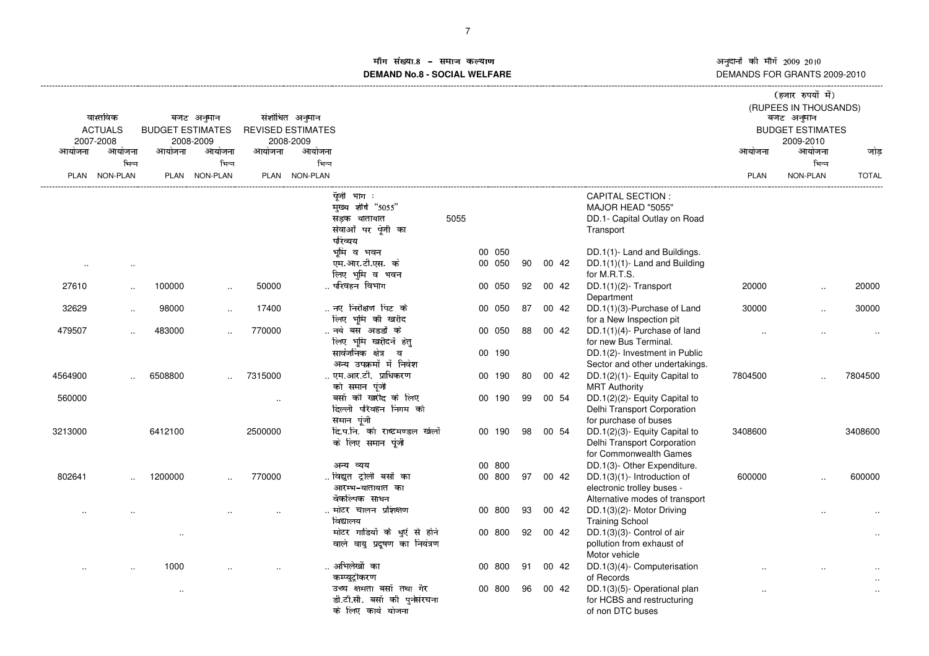ाँग संख्या DGH A=>IJK>LD>MNPO**DEMAND No.8 - SOCIAL WELFARE**

अनुदानों की माँगें 2009–2010<br>DEMANDS FOR GRANTS 2009-2010

|             |                      |                         |               |           |                                |      |        |    |       |                                |             | (हजार रुपयों में)       |              |
|-------------|----------------------|-------------------------|---------------|-----------|--------------------------------|------|--------|----|-------|--------------------------------|-------------|-------------------------|--------------|
|             |                      |                         |               |           |                                |      |        |    |       |                                |             | (RUPEES IN THOUSANDS)   |              |
|             | वास्तविक             |                         | बजट अनुमान    |           | संशोधित अनुमान                 |      |        |    |       |                                |             | बजट अनुमान              |              |
|             | <b>ACTUALS</b>       | <b>BUDGET ESTIMATES</b> |               |           | <b>REVISED ESTIMATES</b>       |      |        |    |       |                                |             | <b>BUDGET ESTIMATES</b> |              |
|             | 2007-2008            |                         | 2008-2009     |           | 2008-2009                      |      |        |    |       |                                |             | 2009-2010               |              |
| आयोजना      | आयोजना               | आयोजना                  | आयोजना        | आयोजना    | आयोजना                         |      |        |    |       |                                | आयोजना      | आयोजना                  | जोड          |
|             | भिन्न                |                         | भिन्न         |           | भिन्न                          |      |        |    |       |                                |             | भिन्न                   |              |
| <b>PLAN</b> | <b>NON-PLAN</b>      |                         | PLAN NON-PLAN |           | PLAN NON-PLAN                  |      |        |    |       |                                | <b>PLAN</b> | NON-PLAN                | <b>TOTAL</b> |
|             |                      |                         |               |           | पैंजी भाग :                    |      |        |    |       | <b>CAPITAL SECTION:</b>        |             |                         |              |
|             |                      |                         |               |           | मुख्य शीर्ष "5055"             |      |        |    |       | MAJOR HEAD "5055"              |             |                         |              |
|             |                      |                         |               |           | सड़क यातायात                   | 5055 |        |    |       | DD.1- Capital Outlay on Road   |             |                         |              |
|             |                      |                         |               |           | सेवाओं पर पूँजी का             |      |        |    |       | Transport                      |             |                         |              |
|             |                      |                         |               |           | परिव्यय                        |      |        |    |       |                                |             |                         |              |
|             |                      |                         |               |           | भूमि व भवन                     |      | 00 050 |    |       | DD.1(1)- Land and Buildings.   |             |                         |              |
|             | $\ddotsc$            |                         |               |           | एम.आर.टी.एस. के                |      | 00 050 | 90 | 00 42 | DD.1(1)(1)- Land and Building  |             |                         |              |
|             |                      |                         |               |           | लिए भूमि व भवन                 |      |        |    |       | for M.R.T.S.                   |             |                         |              |
| 27610       | $\ddot{\phantom{a}}$ | 100000                  | $\ddotsc$     | 50000     | परिवहन विभाग                   |      | 00 050 | 92 | 00 42 | $DD.1(1)(2)$ - Transport       | 20000       |                         | 20000        |
|             |                      |                         |               |           |                                |      |        |    |       | Department                     |             |                         |              |
| 32629       | $\ddotsc$            | 98000                   | $\ddotsc$     | 17400     | नए निरीक्षण पिट के             |      | 00 050 | 87 | 00 42 | DD.1(1)(3)-Purchase of Land    | 30000       |                         | 30000        |
|             |                      |                         |               |           | लिए भूमि की खरीद               |      |        |    |       | for a New Inspection pit       |             |                         |              |
| 479507      | $\ddotsc$            | 483000                  |               | 770000    | नये बस अडडों के                |      | 00 050 | 88 | 00 42 | DD.1(1)(4)- Purchase of land   |             |                         |              |
|             |                      |                         |               |           | लिए भूमि खरीदनें हेत्          |      |        |    |       | for new Bus Terminal.          |             |                         |              |
|             |                      |                         |               |           | सार्वजनिक क्षेत्र व            |      | 00 190 |    |       | DD.1(2)- Investment in Public  |             |                         |              |
|             |                      |                         |               |           | अन्य उपक्रमों में निवेश        |      |        |    |       | Sector and other undertakings. |             |                         |              |
| 4564900     |                      | 6508800                 |               | 7315000   | एम.आर.टी.  प्राधिकरण           |      | 00 190 | 80 | 00 42 | DD.1(2)(1)- Equity Capital to  | 7804500     |                         | 7804500      |
|             |                      |                         |               |           | को समान पूंजी                  |      |        |    |       | <b>MRT Authority</b>           |             |                         |              |
| 560000      |                      |                         |               | $\ddotsc$ | बसों की खरीद के लिए            |      | 00 190 | 99 | 00 54 | DD.1(2)(2)- Equity Capital to  |             |                         |              |
|             |                      |                         |               |           | दिल्ली परिवहन निगम को          |      |        |    |       | Delhi Transport Corporation    |             |                         |              |
|             |                      |                         |               |           | समान पूंजी                     |      |        |    |       | for purchase of buses          |             |                         |              |
| 3213000     |                      | 6412100                 |               | 2500000   | दि.प.नि. को राष्ट्रमण्डल खेलों |      | 00 190 | 98 | 00 54 | DD.1(2)(3)- Equity Capital to  | 3408600     |                         | 3408600      |
|             |                      |                         |               |           | के लिए समान पूंजी              |      |        |    |       | Delhi Transport Corporation    |             |                         |              |
|             |                      |                         |               |           |                                |      |        |    |       | for Commonwealth Games         |             |                         |              |
|             |                      |                         |               |           | अन्य व्यय                      |      | 00 800 |    |       | DD.1(3)- Other Expenditure.    |             |                         |              |
| 802641      |                      | 1200000                 |               | 770000    | विद्युत ट्रोली बसों का         |      | 00 800 | 97 | 00 42 | DD.1(3)(1)- Introduction of    | 600000      |                         | 600000       |
|             |                      |                         |               |           | आरम्भ-यातायात का               |      |        |    |       | electronic trolley buses -     |             |                         |              |
|             |                      |                         |               |           | वैकल्पिक साधन                  |      |        |    |       | Alternative modes of transport |             |                         |              |
|             |                      |                         |               |           | मोटर चालन प्रशिक्षण            |      | 00 800 | 93 | 00 42 | DD.1(3)(2)- Motor Driving      |             |                         |              |
|             |                      |                         |               |           | विद्यालय                       |      |        |    |       | <b>Training School</b>         |             |                         |              |
|             |                      | $\cdot$ .               |               |           | मोटर गाडियों के धुएं से होने   |      | 00 800 | 92 | 00 42 | DD.1(3)(3)- Control of air     |             |                         |              |
|             |                      |                         |               |           | वाले वायु प्रदूषण का नियंत्रण  |      |        |    |       | pollution from exhaust of      |             |                         |              |
|             |                      |                         |               |           |                                |      |        |    |       | Motor vehicle                  |             |                         |              |
|             |                      | 1000                    |               |           | अभिलेखों का                    |      | 00 800 | 91 | 00 42 | DD.1(3)(4)- Computerisation    |             |                         |              |
|             |                      |                         |               |           | कम्प्युट्रीकरण                 |      |        |    |       | of Records                     |             |                         |              |
|             |                      | $\cdot$ .               |               |           | उच्च क्षमता बसों तथा गैर       |      | 00 800 | 96 | 00 42 | DD.1(3)(5)- Operational plan   |             |                         |              |
|             |                      |                         |               |           | डी.टी.सी. बसों की पुर्नसंरचना  |      |        |    |       | for HCBS and restructuring     |             |                         |              |
|             |                      |                         |               |           | के लिए कार्य योजना             |      |        |    |       | of non DTC buses               |             |                         |              |
|             |                      |                         |               |           |                                |      |        |    |       |                                |             |                         |              |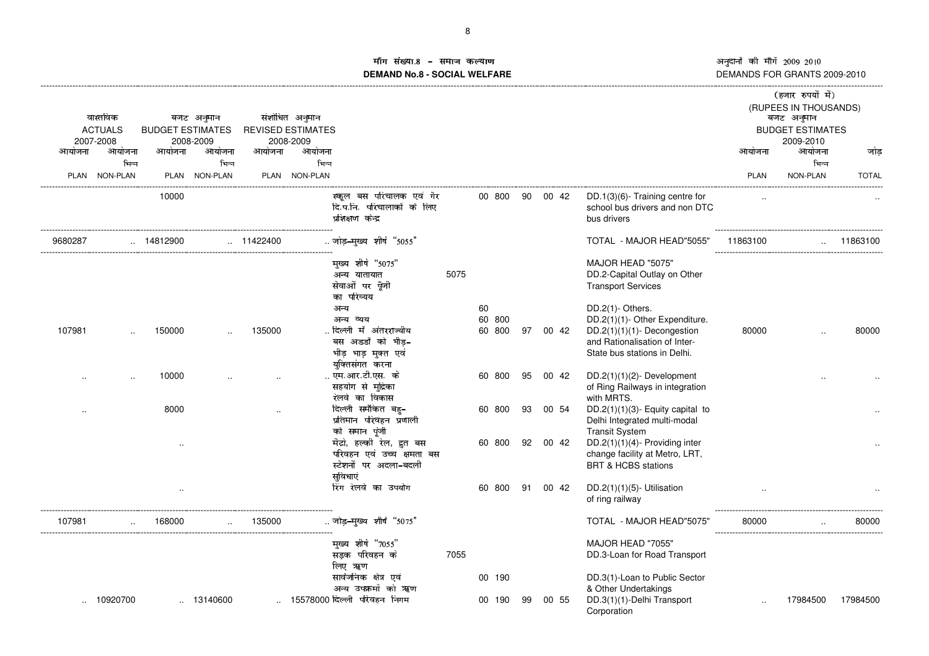## ाँग संख्या ÃÅÆ À¼½ÇÈɽÊýËÌPÍ**DEMAND No.8 - SOCIAL WELFARE**

| वास्तविक<br>संशोधित अनुमान<br>बजट अनुमान<br><b>REVISED ESTIMATES</b><br><b>ACTUALS</b><br><b>BUDGET ESTIMATES</b><br>2007-2008<br>2008-2009<br>2008-2009            |    |          |                                                                                                                                                    |             | (हजार रुपयों में)<br>(RUPEES IN THOUSANDS)<br>बजट अनुमान<br><b>BUDGET ESTIMATES</b><br>2009-2010 |              |
|---------------------------------------------------------------------------------------------------------------------------------------------------------------------|----|----------|----------------------------------------------------------------------------------------------------------------------------------------------------|-------------|--------------------------------------------------------------------------------------------------|--------------|
| आयोजना<br>आयोजना<br>आयोजना<br>आयोजना<br>आयोजना<br>आयोजना                                                                                                            |    |          |                                                                                                                                                    | आयोजना      | आयोजना                                                                                           | जोड          |
| भिन्न<br>भिन्न<br>भिन्न<br>PLAN NON-PLAN<br>PLAN NON-PLAN<br>PLAN NON-PLAN                                                                                          |    |          |                                                                                                                                                    | <b>PLAN</b> | भिन्न<br>NON-PLAN                                                                                | <b>TOTAL</b> |
| स्कूल बस परिचालक एवं गैर<br>00 800<br>10000<br>दि.प.नि. परिचालाकों के लिए<br>प्रशिक्षण केन्द्र                                                                      |    | 90 00 42 | DD.1(3)(6)- Training centre for<br>school bus drivers and non DTC<br>bus drivers                                                                   |             |                                                                                                  |              |
| जोड़-मुख्य शीर्ष "5055"<br>9680287<br>14812900<br>$\ldots$ 11422400                                                                                                 |    |          | TOTAL - MAJOR HEAD"5055'                                                                                                                           | 11863100    |                                                                                                  | 11863100     |
| मुख्य शीर्ष "5075"<br>5075<br>अन्य यातायात<br>सेवाओं पर पूँजी<br>का परिव्यय                                                                                         |    |          | MAJOR HEAD "5075"<br>DD.2-Capital Outlay on Other<br><b>Transport Services</b>                                                                     |             |                                                                                                  |              |
| 60<br>अन्य<br>60<br>800<br>अन्य व्यय<br>दिल्ली में अंतरराज्यीय<br>135000<br>60 800<br>107981<br>150000<br>बस अडडों को भीड-<br>भीड़ भाड़ मुक्त एवं<br>यक्तिसंगत करना | 97 | 00 42    | DD.2(1)- Others.<br>DD.2(1)(1)- Other Expenditure.<br>DD.2(1)(1)(1)- Decongestion<br>and Rationalisation of Inter-<br>State bus stations in Delhi. | 80000       |                                                                                                  | 80000        |
| एम.आर.टी.एस. के<br>10000<br>60 800<br>सहयोग से मृद्रिका<br>रेलवे का विकास                                                                                           | 95 | 00 42    | DD.2(1)(1)(2)- Development<br>of Ring Railways in integration<br>with MRTS.                                                                        |             |                                                                                                  |              |
| दिल्ली समेकित बह-<br>8000<br>60 800<br>प्रतिमान परिवहन प्रणाली<br>को समान पूंजी                                                                                     | 93 | 00 54    | $DD.2(1)(1)(3)$ - Equity capital to<br>Delhi Integrated multi-modal<br><b>Transit System</b>                                                       |             |                                                                                                  |              |
| मैटो, हल्की रेल, द्रुत बस<br>60 800<br>परिवहन एवं उच्च क्षमता बस<br>स्टेशनों पर अदला-बदली<br>सविधाएं                                                                | 92 | 00 42    | DD.2(1)(1)(4)- Providing inter<br>change facility at Metro, LRT,<br><b>BRT &amp; HCBS stations</b>                                                 |             |                                                                                                  |              |
| रिंग रेलवे का उपयोग<br>60 800<br>$\ddotsc$                                                                                                                          | 91 | 00 42    | DD.2(1)(1)(5)- Utilisation<br>of ring railway                                                                                                      |             |                                                                                                  |              |
| जोड़-मुख्य शीर्ष "5075"<br>107981<br>135000<br>168000                                                                                                               |    |          | TOTAL - MAJOR HEAD"5075'                                                                                                                           | 80000       |                                                                                                  | 80000        |
| मुख्य शीर्ष "7055"<br>सड़क परिवहन के<br>7055<br>लिए ऋषा                                                                                                             |    |          | MAJOR HEAD "7055"<br>DD.3-Loan for Road Transport                                                                                                  |             |                                                                                                  |              |
| सार्वजनिक क्षेत्र एवं<br>00 190<br>अन्य उपक्रमों को ॠण<br>15578000 दिल्ली  परिवहन  निगम<br>10920700<br>$\ldots$ 13140600<br>00 190                                  | 99 | 00 55    | DD.3(1)-Loan to Public Sector<br>& Other Undertakings<br>DD.3(1)(1)-Delhi Transport<br>Corporation                                                 |             | 17984500                                                                                         | 17984500     |